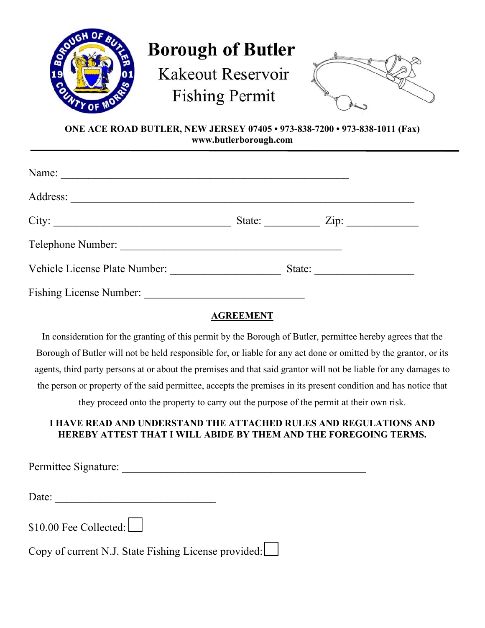

# **Borough of Butler**

**Kakeout Reservoir Fishing Permit** 



**ONE ACE ROAD BUTLER, NEW JERSEY 07405 • 973-838-7200 • 973-838-1011 (Fax) www.butlerborough.com** 

| Name:                          |        |                  |  |
|--------------------------------|--------|------------------|--|
|                                |        |                  |  |
|                                | State: | $\overline{Zip:$ |  |
|                                |        |                  |  |
| Vehicle License Plate Number:  | State: |                  |  |
| <b>Fishing License Number:</b> |        |                  |  |

#### **AGREEMENT**

In consideration for the granting of this permit by the Borough of Butler, permittee hereby agrees that the Borough of Butler will not be held responsible for, or liable for any act done or omitted by the grantor, or its agents, third party persons at or about the premises and that said grantor will not be liable for any damages to the person or property of the said permittee, accepts the premises in its present condition and has notice that they proceed onto the property to carry out the purpose of the permit at their own risk.

### **I HAVE READ AND UNDERSTAND THE ATTACHED RULES AND REGULATIONS AND HEREBY ATTEST THAT I WILL ABIDE BY THEM AND THE FOREGOING TERMS.**

Permittee Signature: \_\_\_\_\_\_\_\_\_\_\_\_\_\_\_\_\_\_\_\_\_\_\_\_\_\_\_\_\_\_\_\_\_\_\_\_\_\_\_\_\_\_\_\_

Date:

\$10.00 Fee Collected:

Copy of current N.J. State Fishing License provided: